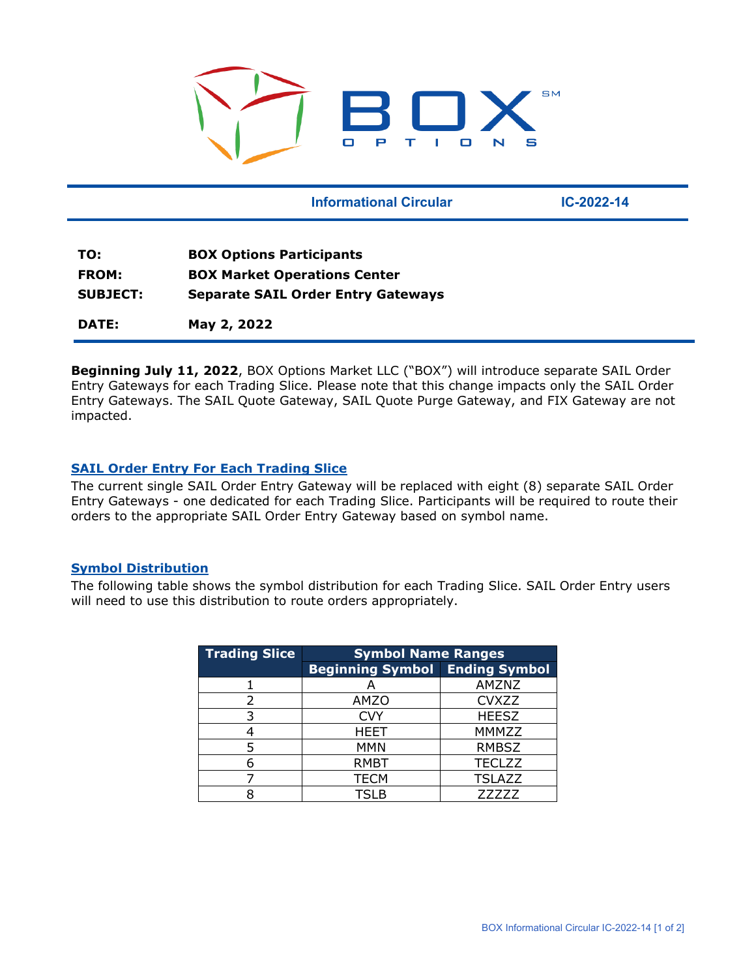

|                 | <b>Informational Circular</b>             | $IC - 2022 - 14$ |  |
|-----------------|-------------------------------------------|------------------|--|
|                 |                                           |                  |  |
| TO:             | <b>BOX Options Participants</b>           |                  |  |
| <b>FROM:</b>    | <b>BOX Market Operations Center</b>       |                  |  |
| <b>SUBJECT:</b> | <b>Separate SAIL Order Entry Gateways</b> |                  |  |
| DATE:           | May 2, 2022                               |                  |  |

**Beginning July 11, 2022**, BOX Options Market LLC ("BOX") will introduce separate SAIL Order Entry Gateways for each Trading Slice. Please note that this change impacts only the SAIL Order Entry Gateways. The SAIL Quote Gateway, SAIL Quote Purge Gateway, and FIX Gateway are not impacted.

## **SAIL Order Entry For Each Trading Slice**

The current single SAIL Order Entry Gateway will be replaced with eight (8) separate SAIL Order Entry Gateways - one dedicated for each Trading Slice. Participants will be required to route their orders to the appropriate SAIL Order Entry Gateway based on symbol name.

#### **Symbol Distribution**

The following table shows the symbol distribution for each Trading Slice. SAIL Order Entry users will need to use this distribution to route orders appropriately.

| <b>Trading Slice</b> | <b>Symbol Name Ranges</b>             |               |  |
|----------------------|---------------------------------------|---------------|--|
|                      | <b>Beginning Symbol Ending Symbol</b> |               |  |
|                      |                                       | AMZNZ         |  |
| 2                    | <b>AMZO</b>                           | <b>CVXZZ</b>  |  |
| 3                    | <b>CVY</b>                            | <b>HEESZ</b>  |  |
|                      | <b>HEET</b>                           | MMMZZ         |  |
| 5                    | <b>MMN</b>                            | <b>RMBSZ</b>  |  |
|                      | <b>RMBT</b>                           | <b>TECLZZ</b> |  |
|                      | <b>TECM</b>                           | <b>TSLAZZ</b> |  |
|                      | TSLB                                  | 77777         |  |